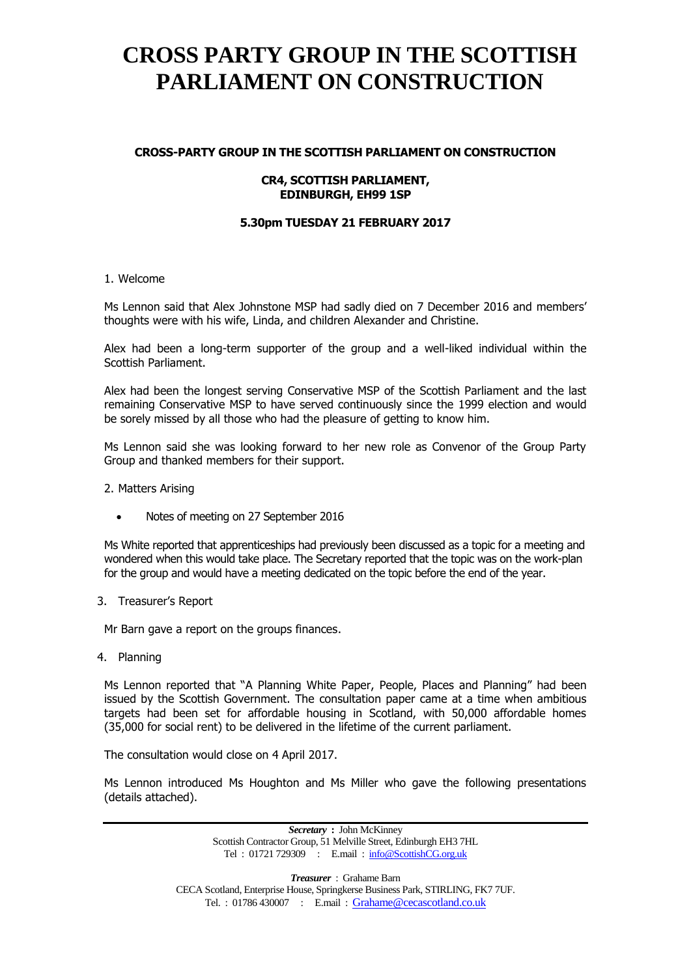### **CROSS-PARTY GROUP IN THE SCOTTISH PARLIAMENT ON CONSTRUCTION**

### **CR4, SCOTTISH PARLIAMENT, EDINBURGH, EH99 1SP**

### **5.30pm TUESDAY 21 FEBRUARY 2017**

#### 1. Welcome

Ms Lennon said that Alex Johnstone MSP had sadly died on 7 December 2016 and members' thoughts were with his wife, Linda, and children Alexander and Christine.

Alex had been a long-term supporter of the group and a well-liked individual within the Scottish Parliament.

Alex had been the longest serving Conservative MSP of the Scottish Parliament and the last remaining Conservative MSP to have served continuously since the [1999 election](https://en.wikipedia.org/wiki/Scottish_Parliament_election,_1999) and would be sorely missed by all those who had the pleasure of getting to know him.

Ms Lennon said she was looking forward to her new role as Convenor of the Group Party Group and thanked members for their support.

2. Matters Arising

Notes of meeting on 27 September 2016

Ms White reported that apprenticeships had previously been discussed as a topic for a meeting and wondered when this would take place. The Secretary reported that the topic was on the work-plan for the group and would have a meeting dedicated on the topic before the end of the year.

3. Treasurer's Report

Mr Barn gave a report on the groups finances.

4. Planning

Ms Lennon reported that "A Planning White Paper, People, Places and Planning" had been issued by the Scottish Government. The consultation paper came at a time when ambitious targets had been set for affordable housing in Scotland, with 50,000 affordable homes (35,000 for social rent) to be delivered in the lifetime of the current parliament.

The consultation would close on 4 April 2017.

Ms Lennon introduced Ms Houghton and Ms Miller who gave the following presentations (details attached).

> *Secretary* **:** John McKinney Scottish Contractor Group, 51 Melville Street, Edinburgh EH3 7HL Tel : 01721 729309 : E.mail : [info@ScottishCG.org.uk](mailto:info@ScottishCG.org.uk)

*Treasurer* : Grahame Barn CECA Scotland, Enterprise House, Springkerse Business Park, STIRLING, FK7 7UF. Tel. : 01786 430007 : E.mail : [Grahame@cecascotland.co.uk](mailto:Grahame@cecascotland.co.uk)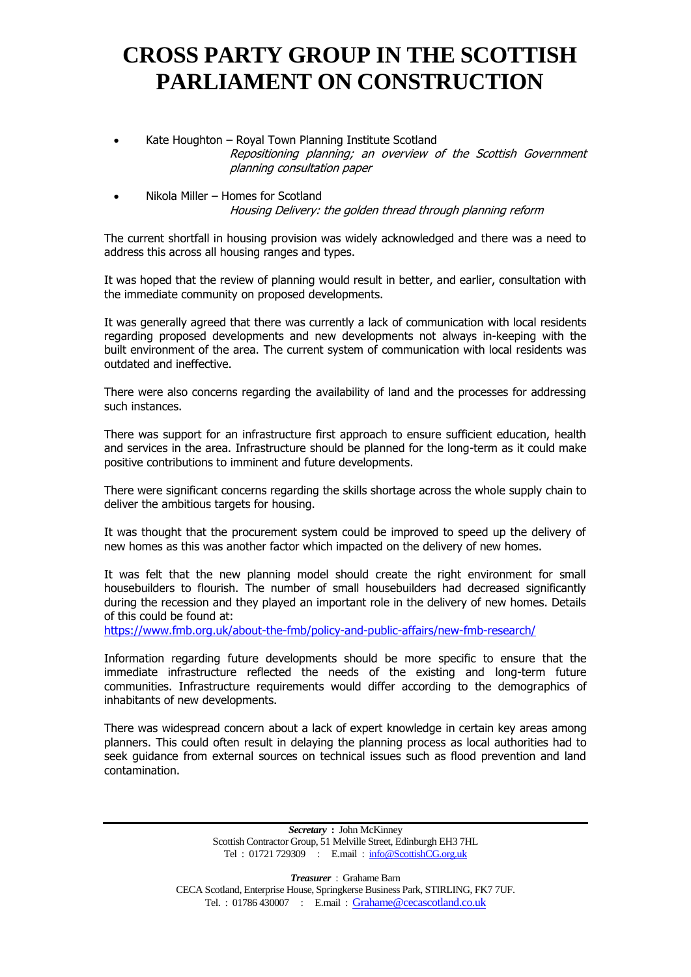- Kate Houghton Royal Town Planning Institute Scotland Repositioning planning; an overview of the Scottish Government planning consultation paper
- Nikola Miller Homes for Scotland Housing Delivery: the golden thread through planning reform

The current shortfall in housing provision was widely acknowledged and there was a need to address this across all housing ranges and types.

It was hoped that the review of planning would result in better, and earlier, consultation with the immediate community on proposed developments.

It was generally agreed that there was currently a lack of communication with local residents regarding proposed developments and new developments not always in-keeping with the built environment of the area. The current system of communication with local residents was outdated and ineffective.

There were also concerns regarding the availability of land and the processes for addressing such instances.

There was support for an infrastructure first approach to ensure sufficient education, health and services in the area. Infrastructure should be planned for the long-term as it could make positive contributions to imminent and future developments.

There were significant concerns regarding the skills shortage across the whole supply chain to deliver the ambitious targets for housing.

It was thought that the procurement system could be improved to speed up the delivery of new homes as this was another factor which impacted on the delivery of new homes.

It was felt that the new planning model should create the right environment for small housebuilders to flourish. The number of small housebuilders had decreased significantly during the recession and they played an important role in the delivery of new homes. Details of this could be found at:

<https://www.fmb.org.uk/about-the-fmb/policy-and-public-affairs/new-fmb-research/>

Information regarding future developments should be more specific to ensure that the immediate infrastructure reflected the needs of the existing and long-term future communities. Infrastructure requirements would differ according to the demographics of inhabitants of new developments.

There was widespread concern about a lack of expert knowledge in certain key areas among planners. This could often result in delaying the planning process as local authorities had to seek guidance from external sources on technical issues such as flood prevention and land contamination.

> *Secretary* **:** John McKinney Scottish Contractor Group, 51 Melville Street, Edinburgh EH3 7HL Tel : 01721 729309 : E.mail : [info@ScottishCG.org.uk](mailto:info@ScottishCG.org.uk)

*Treasurer* : Grahame Barn CECA Scotland, Enterprise House, Springkerse Business Park, STIRLING, FK7 7UF. Tel. : 01786 430007 : E.mail : [Grahame@cecascotland.co.uk](mailto:Grahame@cecascotland.co.uk)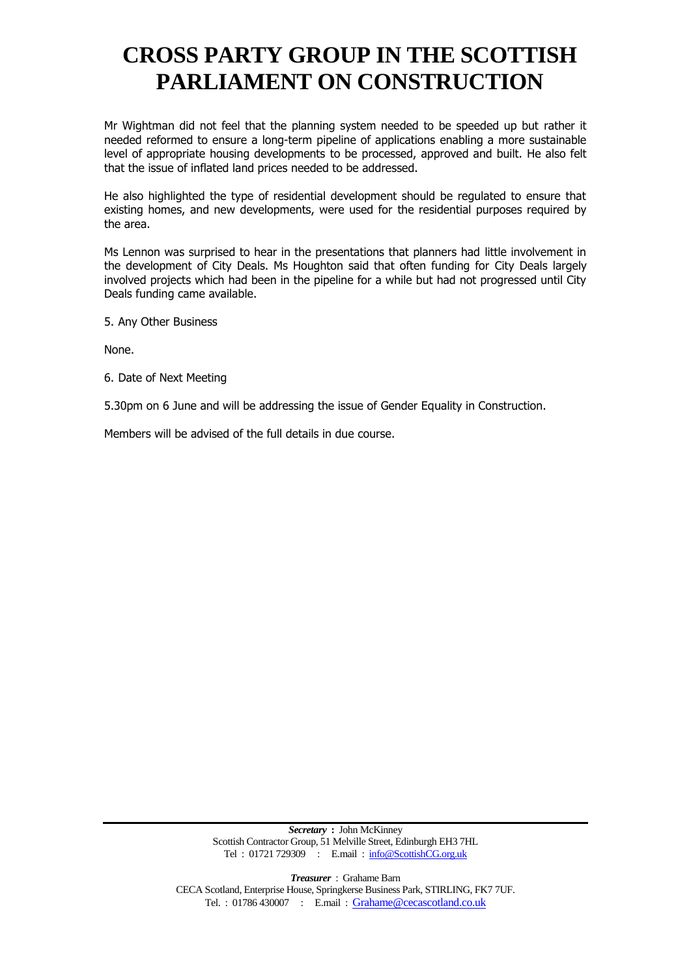Mr Wightman did not feel that the planning system needed to be speeded up but rather it needed reformed to ensure a long-term pipeline of applications enabling a more sustainable level of appropriate housing developments to be processed, approved and built. He also felt that the issue of inflated land prices needed to be addressed.

He also highlighted the type of residential development should be regulated to ensure that existing homes, and new developments, were used for the residential purposes required by the area.

Ms Lennon was surprised to hear in the presentations that planners had little involvement in the development of City Deals. Ms Houghton said that often funding for City Deals largely involved projects which had been in the pipeline for a while but had not progressed until City Deals funding came available.

5. Any Other Business

None.

6. Date of Next Meeting

5.30pm on 6 June and will be addressing the issue of Gender Equality in Construction.

Members will be advised of the full details in due course.

*Secretary* **:** John McKinney Scottish Contractor Group, 51 Melville Street, Edinburgh EH3 7HL Tel : 01721 729309 : E.mail : [info@ScottishCG.org.uk](mailto:info@ScottishCG.org.uk)

*Treasurer* : Grahame Barn CECA Scotland, Enterprise House, Springkerse Business Park, STIRLING, FK7 7UF. Tel. : 01786 430007 : E.mail : [Grahame@cecascotland.co.uk](mailto:Grahame@cecascotland.co.uk)